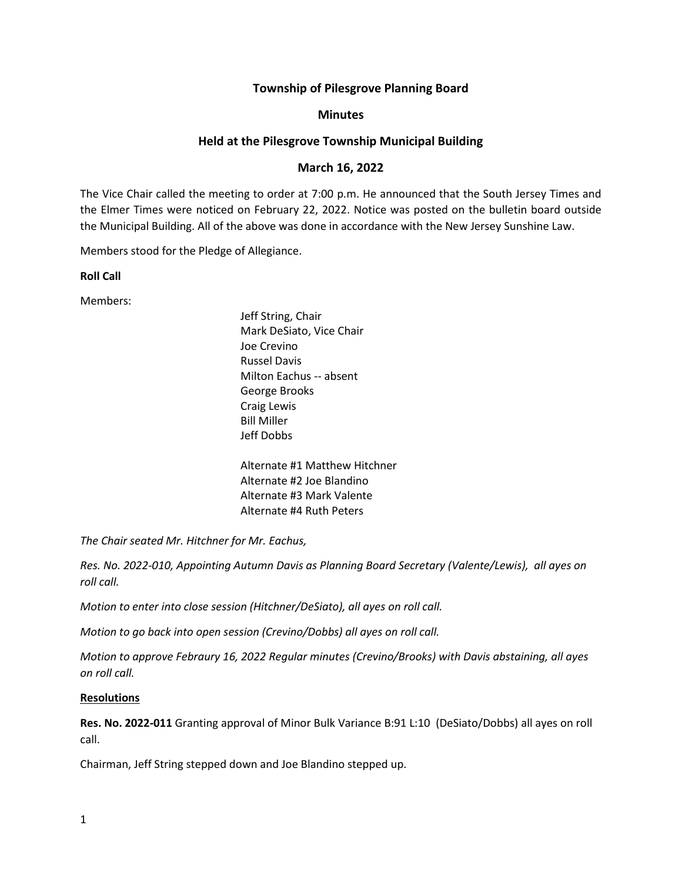# **Township of Pilesgrove Planning Board**

### **Minutes**

# **Held at the Pilesgrove Township Municipal Building**

# **March 16, 2022**

The Vice Chair called the meeting to order at 7:00 p.m. He announced that the South Jersey Times and the Elmer Times were noticed on February 22, 2022. Notice was posted on the bulletin board outside the Municipal Building. All of the above was done in accordance with the New Jersey Sunshine Law.

Members stood for the Pledge of Allegiance.

**Roll Call**

Members:

Jeff String, Chair Mark DeSiato, Vice Chair Joe Crevino Russel Davis Milton Eachus -- absent George Brooks Craig Lewis Bill Miller Jeff Dobbs

Alternate #1 Matthew Hitchner Alternate #2 Joe Blandino Alternate #3 Mark Valente Alternate #4 Ruth Peters

*The Chair seated Mr. Hitchner for Mr. Eachus,* 

*Res. No. 2022-010, Appointing Autumn Davis as Planning Board Secretary (Valente/Lewis), all ayes on roll call.*

*Motion to enter into close session (Hitchner/DeSiato), all ayes on roll call.*

*Motion to go back into open session (Crevino/Dobbs) all ayes on roll call.*

*Motion to approve Febraury 16, 2022 Regular minutes (Crevino/Brooks) with Davis abstaining, all ayes on roll call.*

#### **Resolutions**

**Res. No. 2022-011** Granting approval of Minor Bulk Variance B:91 L:10 (DeSiato/Dobbs) all ayes on roll call.

Chairman, Jeff String stepped down and Joe Blandino stepped up.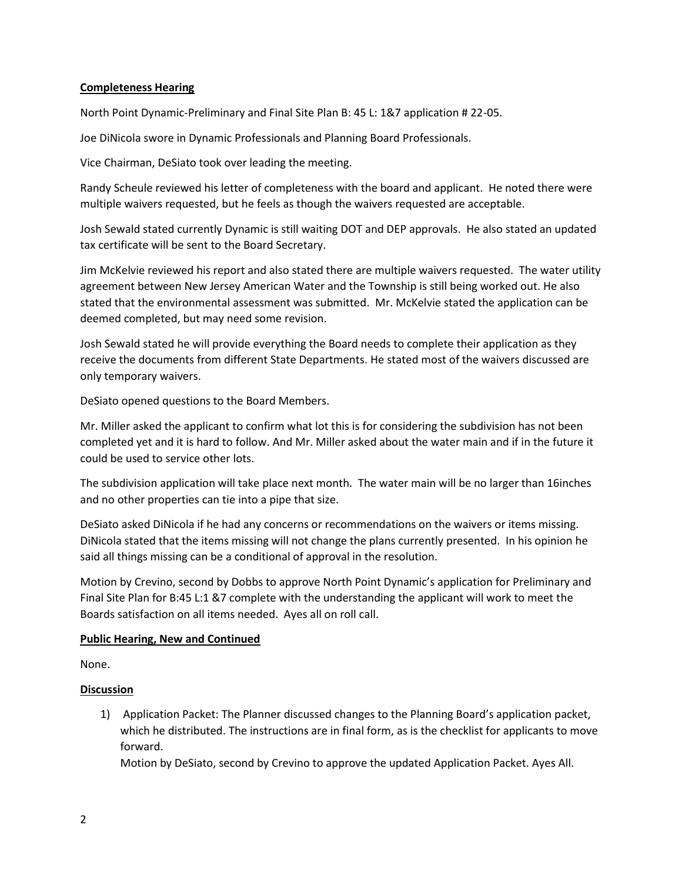### **Completeness Hearing**

North Point Dynamic-Preliminary and Final Site Plan B: 45 L: 1&7 application # 22-05.

Joe DiNicola swore in Dynamic Professionals and Planning Board Professionals.

Vice Chairman, DeSiato took over leading the meeting.

Randy Scheule reviewed his letter of completeness with the board and applicant. He noted there were multiple waivers requested, but he feels as though the waivers requested are acceptable.

Josh Sewald stated currently Dynamic is still waiting DOT and DEP approvals. He also stated an updated tax certificate will be sent to the Board Secretary.

Jim McKelvie reviewed his report and also stated there are multiple waivers requested. The water utility agreement between New Jersey American Water and the Township is still being worked out. He also stated that the environmental assessment was submitted. Mr. McKelvie stated the application can be deemed completed, but may need some revision.

Josh Sewald stated he will provide everything the Board needs to complete their application as they receive the documents from different State Departments. He stated most of the waivers discussed are only temporary waivers.

DeSiato opened questions to the Board Members.

Mr. Miller asked the applicant to confirm what lot this is for considering the subdivision has not been completed yet and it is hard to follow. And Mr. Miller asked about the water main and if in the future it could be used to service other lots.

The subdivision application will take place next month. The water main will be no larger than 16inches and no other properties can tie into a pipe that size.

DeSiato asked DiNicola if he had any concerns or recommendations on the waivers or items missing. DiNicola stated that the items missing will not change the plans currently presented. In his opinion he said all things missing can be a conditional of approval in the resolution.

Motion by Crevino, second by Dobbs to approve North Point Dynamic's application for Preliminary and Final Site Plan for B:45 L:1 &7 complete with the understanding the applicant will work to meet the Boards satisfaction on all items needed. Ayes all on roll call.

### **Public Hearing, New and Continued**

None.

# **Discussion**

1) Application Packet: The Planner discussed changes to the Planning Board's application packet, which he distributed. The instructions are in final form, as is the checklist for applicants to move forward.

Motion by DeSiato, second by Crevino to approve the updated Application Packet. Ayes All.